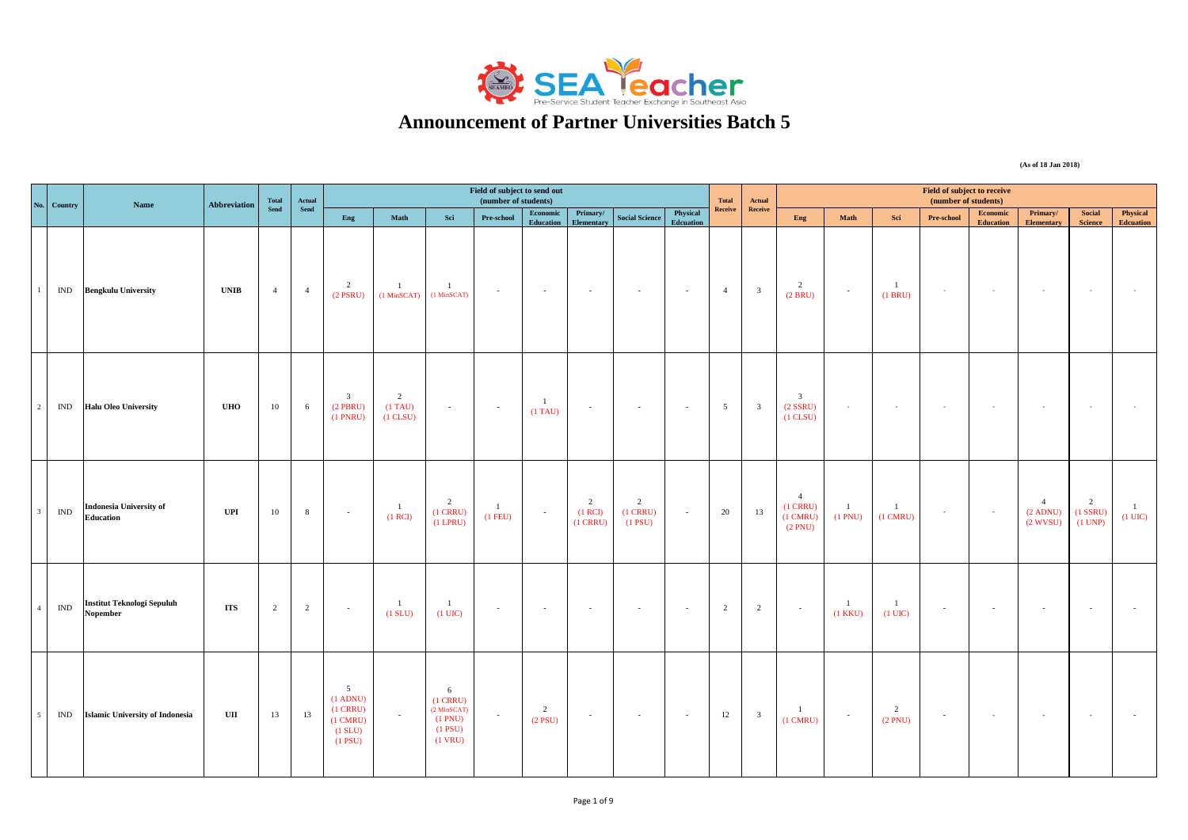

## **Announcement of Partner Universities Batch 5**

**(As of 18 Jan 2018)**

| No. Country                      | Name                                               | <b>Abbreviation</b> | Total          | Actual         |                                                                                          |                                               |                                                                             | Field of subject to send out<br>(number of students) |                              |                                         |                                           |                              | <b>Total</b>   | Actual                  |                                                               |                              |                                    | Field of subject to receive<br>(number of students) |                              |                                               |                                         |                                   |
|----------------------------------|----------------------------------------------------|---------------------|----------------|----------------|------------------------------------------------------------------------------------------|-----------------------------------------------|-----------------------------------------------------------------------------|------------------------------------------------------|------------------------------|-----------------------------------------|-------------------------------------------|------------------------------|----------------|-------------------------|---------------------------------------------------------------|------------------------------|------------------------------------|-----------------------------------------------------|------------------------------|-----------------------------------------------|-----------------------------------------|-----------------------------------|
|                                  |                                                    |                     | Send           | Send           | Eng                                                                                      | Math                                          | Sci                                                                         | Pre-school                                           | Economic<br>Education        | Primary/<br><b>Elementary</b>           | <b>Social Science</b>                     | Physical<br><b>Edcuation</b> | Receive        | Receive                 | Eng                                                           | $\mathbf{Math}$              | Sci                                | Pre-school                                          | Economic<br><b>Education</b> | Primary/<br><b>Elementary</b>                 | Social<br><b>Science</b>                | Physical<br><b>Edcuation</b>      |
| IND                              | <b>Bengkulu University</b>                         | <b>UNIB</b>         | $\overline{4}$ | 4              | $\overline{2}$<br>$(2$ PSRU)                                                             | $\mathbf{1}$<br>$(1$ MinSCAT $)$              | $\mathbf{1}$<br>$(1$ MinSCAT $)$                                            | $\sim$                                               | $\sim 10^{-1}$               | $\sim 10^{-1}$                          | $\sim$                                    | $\sim 100$                   | $\overline{4}$ | $\overline{\mathbf{3}}$ | $\overline{2}$<br>(2 BRU)                                     | $\sim$                       | $\overline{1}$<br>(1 BRU)          | $\sim$                                              | $\sim$                       | $\sim$                                        | $\sim$                                  |                                   |
| IND                              | <b>Halu Oleo University</b>                        | <b>UHO</b>          | 10             | 6              | $\overline{\mathbf{3}}$<br>$(2$ PBRU)<br>$(1$ PNRU)                                      | $\overline{2}$<br>$(1)$ TAU)<br>$(1$ CLSU $)$ | $\sim$                                                                      | $\sim 10^{-1}$                                       | $\overline{1}$<br>$(1)$ TAU) | $\sim$                                  | $\sim$                                    | $\sim 100$                   | 5 <sup>5</sup> | $\overline{\mathbf{3}}$ | $\overline{\mathbf{3}}$<br>$(2$ SSRU $)$<br>$(1$ CLSU $)$     | $\sim$                       | $\sim$                             | $\sim$                                              | $\sim$                       | $\sim$                                        | $\sim$                                  |                                   |
| $\mathbb{I}\mathbb{N}\mathbb{D}$ | <b>Indonesia University of</b><br><b>Education</b> | <b>UPI</b>          | $10\,$         | $\,$ 8 $\,$    | $\sim$                                                                                   | $\overline{1}$<br>(1 RCI)                     | $\overline{2}$<br>$(1$ CRRU $)$<br>$(1$ LPRU)                               | $\mathbf{1}$<br>$(1$ FEU)                            | $\sim 10^{-1}$               | $\overline{2}$<br>(1 RCI)<br>$(1$ CRRU) | $\overline{2}$<br>$(1$ CRRU)<br>$(1$ PSU) | $\sim$                       | 20             | 13                      | $\overline{4}$<br>$(1$ CRRU)<br>$(1 \text{ CMRU})$<br>(2 PNU) | $\mathbf{1}$<br>(1 PNU)      | $\mathbf{1}$<br>$(1 \text{ CMRU})$ | $\sim$                                              | $\sim$                       | $\overline{4}$<br>$(2$ ADNU)<br>$(2$ WVSU $)$ | $\overline{2}$<br>$(1$ SSRU)<br>(1 UNP) | $\mathbf{1}$<br>$(1 \text{ UIC})$ |
| $\mathbb{I}\mathbb{N}\mathbb{D}$ | <b>Institut Teknologi Sepuluh</b><br>Nopember      | <b>ITS</b>          | $\overline{2}$ | $\overline{2}$ | $\sim$                                                                                   | $\overline{1}$<br>(1 SLU)                     | $\mathbf{1}$<br>$(1 \text{ UIC})$                                           | $\sim$                                               | $\sim$                       | $\sim 100$                              | $\sim$                                    | $\sim$ $\sim$                | 2              | $\overline{2}$          | $\sim 10^{-1}$                                                | $\mathbf{1}$<br>$(1$ KKU $)$ | $\mathbf{1}$<br>$(1 \text{ UIC})$  | $\sim$                                              | $\sim$                       | $\sim$                                        | $\sim$                                  |                                   |
| IND                              | <b>Islamic University of Indonesia</b>             | UII                 | 13             | 13             | 5 <sup>5</sup><br>$(1$ ADNU)<br>$(1$ CRRU)<br>$(1 \text{ CMRU})$<br>(1 SLU)<br>$(1$ PSU) | $\sim$                                        | 6<br>$(1$ CRRU $)$<br>$(2$ MinSCAT $)$<br>(1 PNU)<br>$(1$ PSU)<br>$(1$ VRU) | $\sim$                                               | 2<br>$(2$ PSU)               | $\sim$                                  | $\sim$                                    | $\sim 100$                   | 12             | $\overline{\mathbf{3}}$ | $\overline{1}$<br>$(1 \text{ CMRU})$                          | $\sim$                       | 2<br>(2 PNU)                       | $\sim$                                              | $\sim$                       | $\sim$                                        | $\sim$                                  |                                   |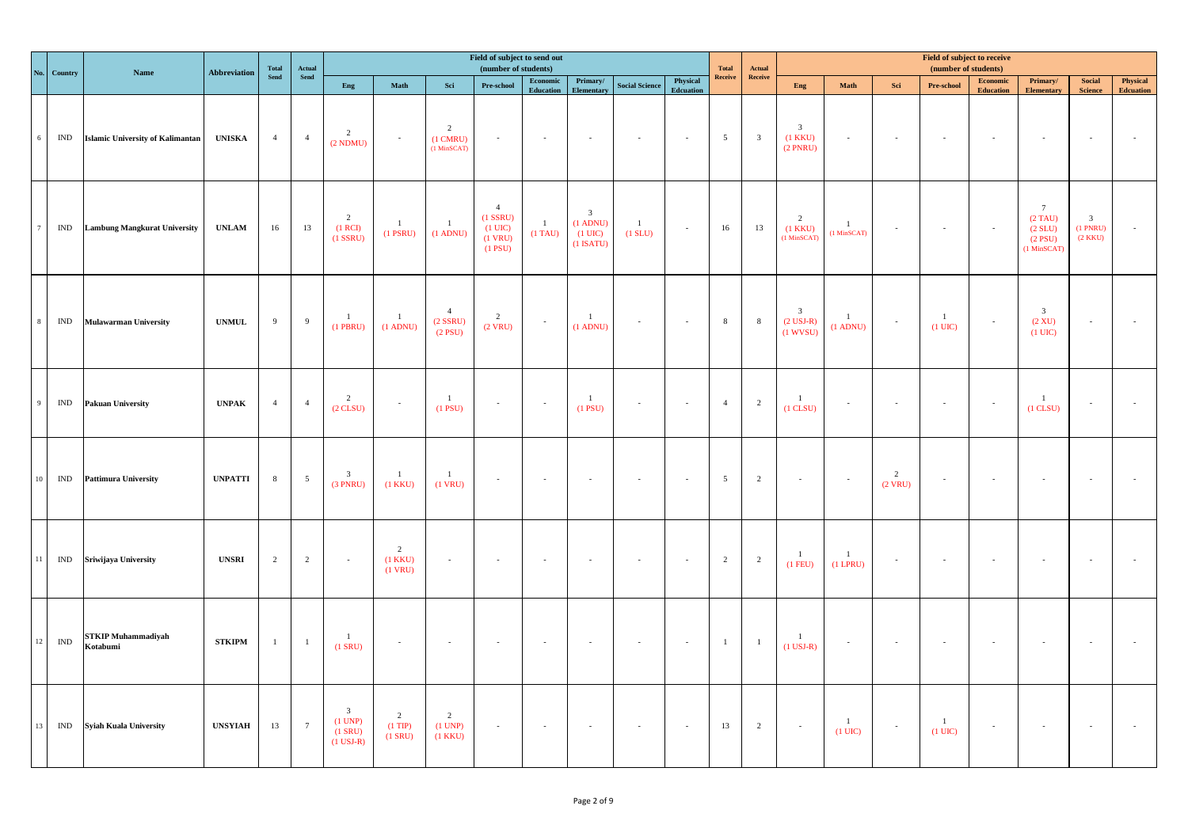| No. | Country                          | Name                                    | <b>Abbreviation</b>           | <b>Total</b>   | Actual          |                                                     |                                |                                                       | Field of subject to send out<br>(number of students)                           |                                                                       |                                                                           |                           |                       | <b>Total</b>    | Actual                  |                                                      |                                     |                             | Field of subject to receive<br>(number of students) |                              |                                                                      |                                                       |                              |
|-----|----------------------------------|-----------------------------------------|-------------------------------|----------------|-----------------|-----------------------------------------------------|--------------------------------|-------------------------------------------------------|--------------------------------------------------------------------------------|-----------------------------------------------------------------------|---------------------------------------------------------------------------|---------------------------|-----------------------|-----------------|-------------------------|------------------------------------------------------|-------------------------------------|-----------------------------|-----------------------------------------------------|------------------------------|----------------------------------------------------------------------|-------------------------------------------------------|------------------------------|
|     |                                  |                                         |                               | <b>Send</b>    | Send            | Eng                                                 | Math                           | Sci                                                   | Pre-school                                                                     | $\begin{array}{ll} \textbf{Economic} \end{array}$<br><b>Education</b> | Primary/<br>Elementary                                                    | <b>Social Science</b>     | Physical<br>Edcuation | Receive         | Receive                 | Eng                                                  | Math                                | Sci                         | Pre-school                                          | Economic<br><b>Education</b> | Primary/<br>Elementary                                               | Social<br><b>Science</b>                              | Physical<br><b>Edcuation</b> |
|     | IND                              | <b>Islamic University of Kalimantan</b> | <b>UNISKA</b>                 | $\overline{4}$ | $\overline{4}$  | $\overline{2}$<br>(2 NDMU)                          | $\sim$                         | $\overline{2}$<br>$(1 \text{ CMRU})$<br>$(1$ MinSCAT) | $\sim$                                                                         | $\sim$                                                                | $\sim$                                                                    |                           | $\sim$                | $5\overline{)}$ | $\overline{\mathbf{3}}$ | $\mathbf{3}$<br>$(1$ KKU $)$<br>$(2$ PNRU)           | $\sim$                              | $\sim$                      | $\sim$                                              |                              | $\sim$                                                               | $\sim$                                                |                              |
|     | IND                              | <b>Lambung Mangkurat University</b>     | <b>UNLAM</b>                  | 16             | 13              | $\overline{2}$<br>(1 RCI)<br>$(1$ SSRU)             | $\mathbf{1}$<br>$(1$ PSRU $)$  | <sup>1</sup><br>$(1$ ADNU)                            | $\overline{4}$<br>$(1$ SSRU $)$<br>$(1 \text{ UIC})$<br>$(1$ VRU)<br>$(1$ PSU) | $\mathbf{1}$<br>$(1)$ TAU)                                            | $\overline{\mathbf{3}}$<br>$(1$ ADNU)<br>$(1 \text{ UIC})$<br>$(1$ ISATU) | $\overline{1}$<br>(1 SUU) | $\mathcal{A}$         | 16              | 13                      | 2<br>$(1$ KKU $)$<br>$(1$ MinSCAT)                   | $\overline{1}$<br>(1 MinSCAT)       | $\sim$                      | $\sim$                                              |                              | $7\phantom{.0}$<br>$(2)$ TAU)<br>(2 SLU)<br>$(2$ PSU)<br>(1 MinSCAT) | $\overline{\mathbf{3}}$<br>$(1$ PNRU $)$<br>(2 K K U) |                              |
|     | IND                              | <b>Mulawarman University</b>            | $\ensuremath{\mathsf{UNMUL}}$ | $\overline{9}$ | 9               | $\mathbf{1}$<br>$(1$ PBRU)                          | $\mathbf{1}$<br>$(1$ ADNU)     | $\overline{4}$<br>$(2$ SSRU)<br>$(2$ PSU)             | $\overline{2}$<br>$(2$ VRU)                                                    | $\sim$                                                                | $\mathbf{1}$<br>$(1$ ADNU)                                                | $\sim$                    | $\sim$                | $\,8\,$         | $\,$ 8 $\,$             | $\overline{\mathbf{3}}$<br>$(2$ USJ-R)<br>$(1$ WVSU) | $\overline{1}$<br>$(1$ ADNU)        | $\sim$                      | $\mathbf{1}$<br>$(1 \text{ UIC})$                   | $\sim$                       | $\overline{\mathbf{3}}$<br>$(2 \mathrm{XU})$<br>$(1 \text{ UIC})$    | $\sim$                                                |                              |
|     | IND                              | <b>Pakuan University</b>                | <b>UNPAK</b>                  | $\overline{4}$ | $\overline{4}$  | $\frac{2}{(2 \text{ CLSU})}$                        | $\sim$                         | $\mathbf{1}$<br>$(1$ PSU)                             | $\sim$                                                                         |                                                                       | $\mathbf{1}$<br>$(1$ PSU $)$                                              |                           | $\sim$                | $\overline{4}$  | $\overline{2}$          | $\mathbf{1}$<br>$(1$ CLSU $)$                        | $\sim$                              |                             | $\sim$                                              |                              | $\mathbf{1}$<br>$(1$ CLSU $)$                                        | $\sim$                                                |                              |
|     | IND                              | <b>Pattimura University</b>             | <b>UNPATTI</b>                | $\,$ 8 $\,$    | $5\phantom{.0}$ | $\mathfrak{Z}$<br>(3 PNRU)                          | $\mathbf{1}$<br>$(1$ KKU $)$   | $\mathbf{1}$<br>$(1$ VRU)                             | $\omega$                                                                       | $\sim$                                                                | $\sim$                                                                    |                           | $\sim$                | $5\overline{)}$ | $\overline{2}$          | $\sim$                                               | $\sim$                              | $\overline{c}$<br>$(2$ VRU) | $\sim$                                              |                              | $\sim$                                                               | $\sim$                                                |                              |
| 11  |                                  | IND Sriwijaya University                | <b>UNSRI</b>                  | $\overline{2}$ | $\overline{2}$  | $\sim$                                              | 2<br>$(1$ KKU $)$<br>$(1$ VRU) | $\sim$                                                | $\sim$                                                                         | $\sim$                                                                |                                                                           |                           | $\sim$                | $\overline{2}$  | $\overline{2}$          | $\mathbf{1}$<br>$(1$ FEU)                            | $\overline{1}$<br>$(1$ LPRU $)$     | ×.                          | $\sim$                                              |                              |                                                                      | $\sim$                                                |                              |
| 12  | $\mathbb{I}\mathbb{N}\mathbb{D}$ | <b>STKIP Muhammadiyah</b><br>Kotabumi   | <b>STKIPM</b>                 | $\mathbf{1}$   | $\overline{1}$  | $\mathbf{1}$<br>$(1$ SRU)                           | $\omega$                       | $\sim$                                                | $\sim$                                                                         | $\sim$                                                                | $\sim$                                                                    |                           | $\sim$                | $\mathbf{1}$    | $\!-1$                  | $\mathbf{1}$<br>$(1$ USJ-R)                          | $\sim$                              | $\sim$                      | $\sim$                                              |                              | $\sim$                                                               | $\sim$                                                |                              |
| 13  | IND                              | <b>Syiah Kuala University</b>           | <b>UNSYIAH</b>                | 13             | $7\overline{ }$ | $\mathbf{3}$<br>(1 UNP)<br>$(1$ SRU)<br>$(1$ USJ-R) | 2<br>$(1$ TIP)<br>$(1$ SRU)    | $\overline{2}$<br>(1 UNP)<br>$(1$ KKU $)$             | $\mathcal{L}$                                                                  | $\sim$                                                                |                                                                           |                           | $\sim$                | 13              | $\overline{2}$          | $\sim$                                               | $\overline{1}$<br>$(1 \text{ UIC})$ | $\sim$                      | $\mathbf{1}$<br>$(1 \text{ UIC})$                   | $\sim$                       | $\sim$                                                               | $\sim$                                                |                              |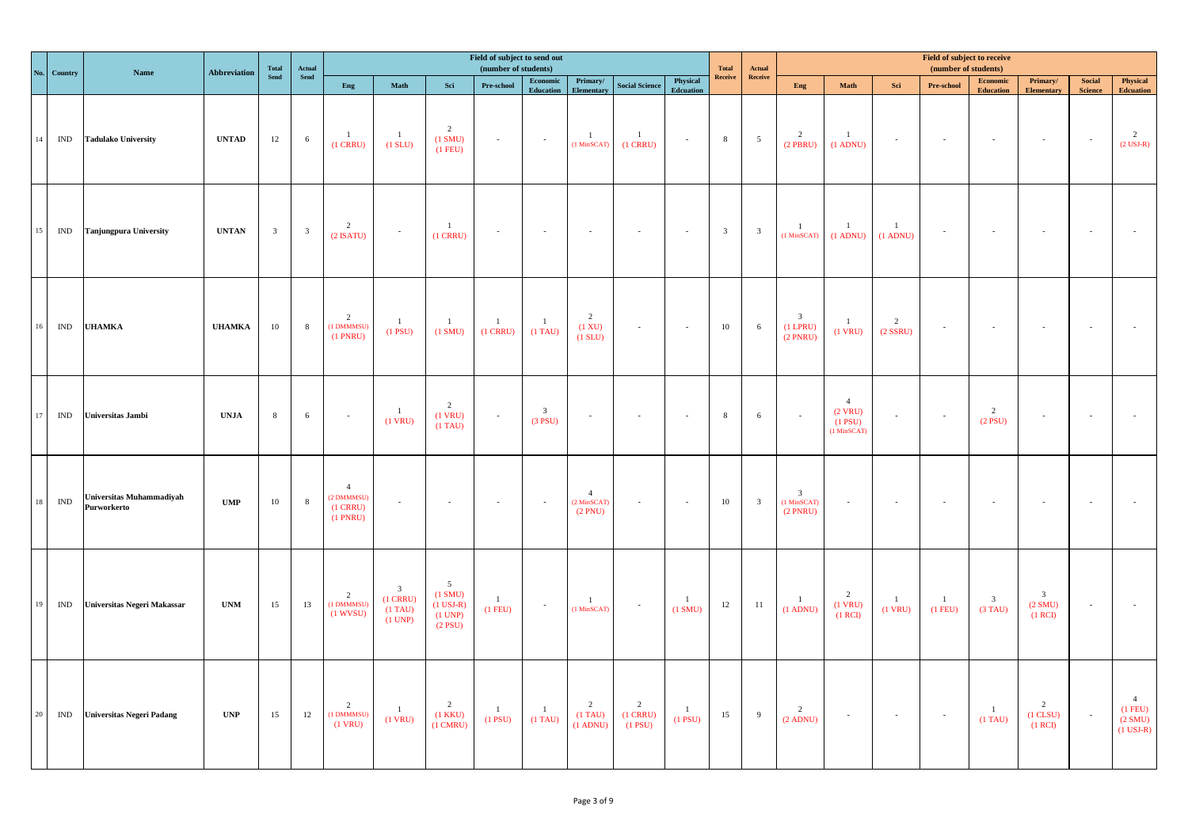|        | No. Country                      | Name                                           | <b>Abbreviation</b>         | $\begin{array}{c} \bf Total \\ \bf Send \end{array}$ | Actual                  |                                                             |                                                                |                                                                  | Field of subject to send out<br>(number of students) |                                                                                                |                                            |                              |                              | <b>Total</b>            | Actual                                |                                             |                                                         |                                 | Field of subject to receive<br>(number of students) |                                       |                                                |                                 |                                                       |
|--------|----------------------------------|------------------------------------------------|-----------------------------|------------------------------------------------------|-------------------------|-------------------------------------------------------------|----------------------------------------------------------------|------------------------------------------------------------------|------------------------------------------------------|------------------------------------------------------------------------------------------------|--------------------------------------------|------------------------------|------------------------------|-------------------------|---------------------------------------|---------------------------------------------|---------------------------------------------------------|---------------------------------|-----------------------------------------------------|---------------------------------------|------------------------------------------------|---------------------------------|-------------------------------------------------------|
|        |                                  |                                                |                             |                                                      | ${\bf Send}$            | Eng                                                         | Math                                                           | Sci                                                              | Pre-school                                           | $\begin{minipage}{.4\linewidth} \textbf{Economic} \end{minipage} \vspace{-0.5em}$<br>Education | Primary/<br><b>Elementary</b>              | <b>Social Science</b>        | Physical<br><b>Edcuation</b> | Receive                 | $\label{eq:receive} \textbf{Receive}$ | Eng                                         | Math                                                    | Sci                             | Pre-school                                          | Economic<br><b>Education</b>          | Primary/<br><b>Elementary</b>                  | <b>Social</b><br><b>Science</b> | Physical<br><b>Edcuation</b>                          |
| 14     | IND                              | <b>Tadulako University</b>                     | <b>UNTAD</b>                | 12                                                   | $6\,$                   | -1<br>$(1$ CRRU $)$                                         | $\overline{1}$<br>$(1$ SLU)                                    | $\overline{2}$<br>(1 SMU)<br>$(1$ FEU)                           | $\sim$                                               | $\sim$                                                                                         | $\mathbf{1}$<br>(1 MinSCAT)                | $\mathbf{1}$<br>$(1$ CRRU)   | $\sim$                       | $\,$ 8 $\,$             | $5\phantom{.0}$                       | 2<br>$(2$ PBRU)                             | $\overline{1}$<br>$(1$ ADNU)                            | $\sim$                          | $\sim$                                              |                                       | $\sim$                                         | $\sim$ $-$                      | 2<br>$(2$ USJ-R)                                      |
| $15\,$ | IND                              | <b>Tanjungpura University</b>                  | <b>UNTAN</b>                | $\overline{\mathbf{3}}$                              | $\overline{\mathbf{3}}$ | $\overline{2}$<br>$(2$ ISATU)                               | $\sim$                                                         | $\mathbf{1}$<br>$(1$ CRRU)                                       | $\overline{\phantom{a}}$                             | $\sim$                                                                                         | $\sim$                                     |                              | $\sim$                       | $\overline{\mathbf{3}}$ | $\overline{\mathbf{3}}$               | $\mathbf{1}$<br>$(1$ MinSCAT $)$            | $\overline{1}$<br>$(1$ ADNU)                            | $\mathbf{1}$<br>$(1$ ADNU)      | $\sim$                                              |                                       | $\sim$                                         | $\sim$                          |                                                       |
| 16     | IND                              | <b>UHAMKA</b>                                  | <b>UHAMKA</b>               | $10\,$                                               | 8                       | 2<br>(1 DMMMSU)<br>$(1$ PNRU)                               | $\mathbf{1}$<br>$(1$ PSU)                                      | $\mathbf{1}$<br>$(1 \text{ SMU})$                                | $\mathbf{1}$<br>$(1$ CRRU $)$                        | $\overline{1}$<br>$(1)$ TAU)                                                                   | $\overline{2}$<br>(1 XU)<br>(1 SLU)        | $\sim$                       | $\sim$                       | 10                      | 6                                     | $\mathbf{3}$<br>$(1$ LPRU $)$<br>$(2$ PNRU) | $\mathbf{1}$<br>$(1$ VRU)                               | $\overline{2}$<br>$(2$ SSRU $)$ | $\sim$                                              |                                       |                                                | $\sim$                          |                                                       |
| 17     | IND                              | Universitas Jambi                              | <b>UNJA</b>                 | $\,$ 8 $\,$                                          | $\sqrt{6}$              | $\sim$                                                      | $\overline{1}$<br>$(1$ VRU)                                    | 2<br>$(1$ VRU $)$<br>$(1)$ TAU)                                  | $\sim$                                               | $\overline{\mathbf{3}}$<br>$(3$ PSU)                                                           | $\sim$                                     |                              |                              | 8                       | 6                                     | $\sim$                                      | $\overline{4}$<br>$(2$ VRU)<br>$(1$ PSU)<br>(1 MinSCAT) | ×.                              | $\sim$                                              | $\overline{2}$<br>$(2$ PSU)           | $\sim$                                         | $\sim$                          |                                                       |
| $18\,$ | $\mathbb{I}\mathbb{N}\mathbb{D}$ | <b>Universitas Muhammadiyah</b><br>Purworkerto | $\bold{UMP}$                | $10\,$                                               | $\,$ 8 $\,$             | $\overline{4}$<br>(2 DMMMSU)<br>$(1$ CRRU $)$<br>$(1$ PNRU) | $\bar{z}$                                                      | $\sim$                                                           | $\sim$                                               | $\sim$                                                                                         | $\overline{4}$<br>(2 MinSCAT)<br>(2 PNU)   |                              | $\sim$                       | 10                      | $\overline{\mathbf{3}}$               | $\mathbf{3}$<br>(1 MinSCAT)<br>$(2$ PNRU)   | $\sim$                                                  | $\sim$                          |                                                     |                                       |                                                | $\sim$                          |                                                       |
| 19     | IND                              | Universitas Negeri Makassar                    | <b>UNM</b>                  | 15                                                   | 13                      | $\frac{2}{(1 \text{ DMMMSU})}$<br>$(1$ WVSU)                | $\overline{\mathbf{3}}$<br>$(1$ CRRU)<br>$(1)$ TAU)<br>(1 UNP) | 5 <sup>5</sup><br>(1 SMU)<br>$(1$ USJ-R)<br>(1 UNP)<br>$(2$ PSU) | $\mathbf{1}$<br>$(1$ FEU)                            | $\sim$                                                                                         | $\mathbf{1}$<br>(1 MinSCAT)                | $\sim$                       | $\mathbf{1}$<br>(1 SMU)      | 12                      | 11                                    | $\overline{1}$<br>$(1$ ADNU)                | 2<br>$(1$ VRU)<br>(1 RCI)                               | $\mathbf{1}$<br>$(1$ VRU)       | $\overline{1}$<br>$(1$ FEU)                         | $\overline{\mathbf{3}}$<br>$(3)$ TAU) | $\overline{\mathbf{3}}$<br>(2 SMU)<br>$(1$ RCD | $\sim$                          |                                                       |
| 20     | IND                              | <b>Universitas Negeri Padang</b>               | $\ensuremath{\mathbf{UNP}}$ | 15                                                   | 12                      | $\overline{2}$<br>(1 DMMMSU)<br>$(1$ VRU)                   | $\mathbf{1}$<br>$(1$ VRU $)$                                   | 2<br>$(1$ KKU $)$<br>$(1 \text{ CMRU})$                          | $\mathbf{1}$<br>$(1$ PSU)                            | $\overline{1}$<br>$(1)$ TAU)                                                                   | $\overline{2}$<br>$(1)$ TAU)<br>$(1$ ADNU) | 2<br>$(1$ CRRU)<br>$(1$ PSU) | $\mathbf{1}$<br>$(1$ PSU)    | 15                      | 9                                     | 2<br>$(2$ ADNU)                             | $\sim$                                                  | $\sim$                          | $\sim$ $\sim$                                       | $\mathbf{1}$<br>$(1)$ TAU)            | 2<br>$(1$ CLSU $)$<br>(1 RCI)                  | $\sim$                          | $\overline{4}$<br>$(1$ FEU)<br>(2 SMU)<br>$(1$ USJ-R) |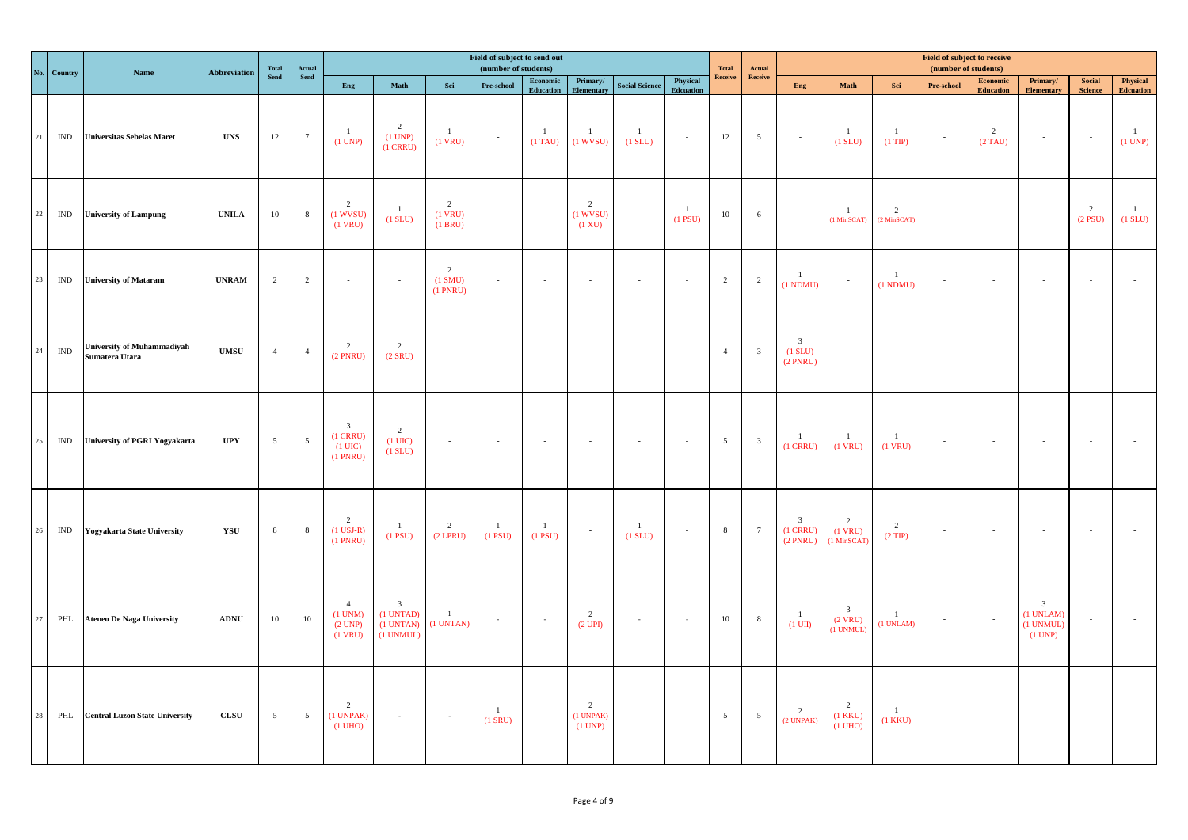|    | No. Country    | Name                                                | <b>Abbreviation</b> | <b>Total</b>    | Actual          |                                                                    |                                                                |                                         | Field of subject to send out<br>(number of students) |                                                                                                |                                                   |                           |                              | <b>Total</b>    | Actual                  |                                                       |                                                     |                                 | <b>Field of subject to receive</b><br>(number of students) |                              |                                                              |                             |                              |
|----|----------------|-----------------------------------------------------|---------------------|-----------------|-----------------|--------------------------------------------------------------------|----------------------------------------------------------------|-----------------------------------------|------------------------------------------------------|------------------------------------------------------------------------------------------------|---------------------------------------------------|---------------------------|------------------------------|-----------------|-------------------------|-------------------------------------------------------|-----------------------------------------------------|---------------------------------|------------------------------------------------------------|------------------------------|--------------------------------------------------------------|-----------------------------|------------------------------|
|    |                |                                                     |                     | <b>Send</b>     | Send            | Eng                                                                | $\mathbf{Math}$                                                | Sci                                     | Pre-school                                           | $\begin{minipage}{.4\linewidth} \textbf{Economic} \end{minipage} \vspace{-0.5em}$<br>Education | Primary/<br>Elementary                            | <b>Social Science</b>     | Physical<br><b>Edcuation</b> | Receive         | Receive                 | Eng                                                   | Math                                                | Sci                             | Pre-school                                                 | Economic<br><b>Education</b> | Primary/<br><b>Elementary</b>                                | Social<br><b>Science</b>    | Physical<br><b>Edcuation</b> |
| 21 | IND            | <b>Universitas Sebelas Maret</b>                    | <b>UNS</b>          | 12              | $7\overline{ }$ | $\mathbf{1}$<br>(1 UNP)                                            | 2<br>(1 UNP)<br>$(1$ CRRU $)$                                  | $\overline{1}$<br>$(1$ VRU)             | $\sim$                                               | $\mathbf{1}$<br>$(1)$ TAU)                                                                     | $\mathbf{1}$<br>$(1$ WVSU)                        | $\mathbf{1}$<br>$(1$ SLU) | $\sim$                       | 12              | $\overline{5}$          | $\sim$                                                | $\mathbf{1}$<br>(1 SLU)                             | $\mathbf{1}$<br>$(1$ TIP)       | $\sim$                                                     | $\overline{2}$<br>$(2)$ TAU) | $\sim$                                                       | $\sim$ $\sim$               | $\mathbf{1}$<br>(1 UNP)      |
| 22 | IND            | <b>University of Lampung</b>                        | <b>UNILA</b>        | 10              | 8               | $\overline{2}$<br>$(1$ WVSU)<br>$(1$ VRU)                          | $\mathbf{1}$<br>$(1$ SLU $)$                                   | $\overline{2}$<br>$(1$ VRU)<br>(1 BRU)  | $\sim$                                               | $\sim$                                                                                         | $\overline{2}$<br>$(1$ WVSU)<br>$(1 \mathrm{XU})$ | $\sim$                    | $\frac{1}{2}$<br>$(1$ PSU)   | 10              | 6                       | $\sim$                                                | $\overline{1}$<br>(1 MinSCAT)                       | $\overline{c}$<br>$(2$ MinSCAT) | $\sim$                                                     |                              | $\sim$                                                       | $\overline{2}$<br>$(2$ PSU) | $\mathbf{1}$<br>$(1$ SLU $)$ |
| 23 | $\mathbf{IND}$ | <b>University of Mataram</b>                        | <b>UNRAM</b>        | 2               | $\overline{2}$  | $\sim$                                                             | $\sim$                                                         | $\overline{2}$<br>(1 SMU)<br>$(1$ PNRU) | $\mathcal{L}$                                        | $\sim$                                                                                         | $\sim$                                            |                           | $\sim$                       | $\overline{2}$  | $\overline{2}$          | $\mathbf{1}$<br>(1 NDMU)                              | $\sim$                                              | $\overline{1}$<br>(1 NDMU)      | $\sim$                                                     |                              | $\sim$                                                       | $\sim$                      |                              |
| 24 | $\mathbf{IND}$ | <b>University of Muhammadiyah</b><br>Sumatera Utara | $\bold{UMSU}$       | $\overline{4}$  | $\overline{4}$  | $\overline{2}$<br>$(2$ PNRU)                                       | $\overline{2}$<br>$(2$ SRU)                                    | $\sim$                                  |                                                      |                                                                                                |                                                   |                           | $\sim$                       | $\overline{4}$  | $\overline{\mathbf{3}}$ | $\overline{\mathbf{3}}$<br>$(1$ SLU $)$<br>$(2$ PNRU) | $\sim$                                              | $\bar{a}$                       |                                                            |                              |                                                              | $\sim$                      |                              |
| 25 | IND            | <b>University of PGRI Yogyakarta</b>                | $_{\rm{UPY}}$       | $\overline{5}$  | $5\overline{5}$ | 3 <sup>7</sup><br>$(1$ CRRU $)$<br>$(1 \text{ UIC})$<br>$(1$ PNRU) | 2<br>$(1$ UIC)<br>$(1$ SLU $)$                                 | $\sim$                                  | $\sim$                                               | $\sim$                                                                                         | $\sim$                                            |                           | $\sim$                       | 5 <sup>5</sup>  | $\overline{\mathbf{3}}$ | $\mathbf{1}$<br>$(1$ CRRU $)$                         | $\overline{1}$<br>$(1$ VRU)                         | $\mathbf{1}$<br>$(1$ VRU)       | $\sim$                                                     |                              | $\sim$                                                       | $\sim$                      |                              |
| 26 | IND            | <b>Yogyakarta State University</b>                  | YSU                 | $\,$ 8 $\,$     | 8               | $\overline{2}$<br>$(1$ USJ-R)<br>$(1$ PNRU)                        | $\mathbf{1}$<br>$(1$ PSU $)$                                   | $\overline{2}$<br>$(2$ LPRU)            | $\mathbf{1}$<br>$(1$ PSU)                            | $\mathbf{1}$<br>$(1$ PSU $)$                                                                   | $\sim$                                            | $\mathbf{1}$<br>(1 SUU)   | $\sim$                       | 8               | $7\phantom{.0}$         | $\overline{\mathbf{3}}$<br>$(1$ CRRU)<br>$(2$ PNRU)   | 2<br>$(1$ VRU)<br>(1 MinSCAT)                       | $\overline{2}$<br>$(2$ TIP)     | $\sim$                                                     |                              | $\sim$                                                       | $\sim$                      |                              |
| 27 | PHL            | <b>Ateneo De Naga University</b>                    | <b>ADNU</b>         | 10              | 10              | $\overline{4}$<br>$(1$ UNM $)$<br>(2 UNP)<br>$(1$ VRU)             | $\overline{\mathbf{3}}$<br>(1 UNTAD)<br>(1 UNTAN)<br>(1 UNMUL) | $\mathbf{1}$<br>(1 UNTAN)               | $\sim$                                               | $\sim$                                                                                         | 2<br>(2 UPI)                                      |                           | $\sim$                       | 10              | 8                       | $\mathbf{1}$<br>$(1 \text{ UII})$                     | $\overline{\mathbf{3}}$<br>$(2$ VRU)<br>$(1$ UNMUL) | $\overline{1}$<br>(1 UNLAM)     | $\sim$ $\pm$                                               |                              | $\overline{\mathbf{3}}$<br>(1 UNLAM)<br>(1 UNMUL)<br>(1 UNP) | $\sim$                      |                              |
| 28 | PHL            | <b>Central Luzon State University</b>               | CLSU                | $5\overline{5}$ | $5\overline{5}$ | 2<br>(1 UNPAK)<br>$(1 \text{ UHO})$                                | $\sim$                                                         | $\sim$                                  | $\mathbf{1}$<br>$(1$ SRU)                            | $\sim$                                                                                         | $\overline{2}$<br>$(1$ UNPAK $)$<br>(1 UNP)       | $\sim$                    | $\sim$                       | $5\overline{)}$ | $5\overline{5}$         | $\overline{2}$<br>(2 UNPAK)                           | $\overline{2}$<br>$(1$ KKU $)$<br>$(1 \text{ UHO})$ | $\mathbf{1}$<br>$(1$ KKU $)$    | $\sim$ $\pm$                                               | $\sim$                       | $\sim$                                                       | $\sim 100$                  |                              |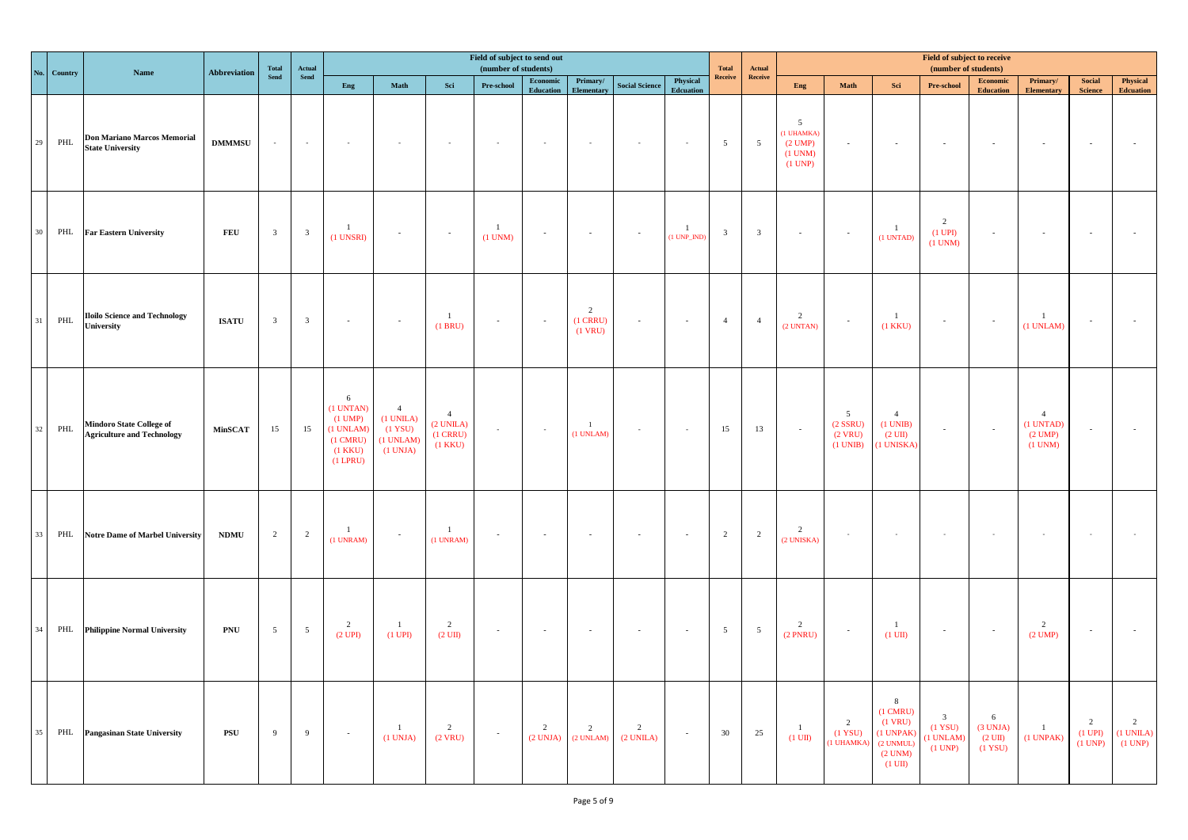| No.    | Country | <b>Name</b>                                                          | Abbreviation      | Total                   | $\bold{Actual}$          |                                                                                                   |                                                                             |                                                           | Field of subject to send out<br>(number of students) |                              |                              |                                  |                               | <b>Total</b>    | Actual                  |                                                                               |                                                             |                                                                                                            | Field of subject to receive<br>(number of students)        |                                               |                                                                  |                                                |                                |
|--------|---------|----------------------------------------------------------------------|-------------------|-------------------------|--------------------------|---------------------------------------------------------------------------------------------------|-----------------------------------------------------------------------------|-----------------------------------------------------------|------------------------------------------------------|------------------------------|------------------------------|----------------------------------|-------------------------------|-----------------|-------------------------|-------------------------------------------------------------------------------|-------------------------------------------------------------|------------------------------------------------------------------------------------------------------------|------------------------------------------------------------|-----------------------------------------------|------------------------------------------------------------------|------------------------------------------------|--------------------------------|
|        |         |                                                                      |                   | <b>Send</b>             | Send                     | Eng                                                                                               | Math                                                                        | Sci                                                       | Pre-school                                           | Economic<br><b>Education</b> | Primary/<br>Elementary       | <b>Social Science</b>            | Physical<br><b>Edcuation</b>  | Receive         | Receive                 | Eng                                                                           | $\mathbf{Math}$                                             | Sci                                                                                                        | <b>Pre-school</b>                                          | <b>Economic</b><br><b>Education</b>           | Primary/<br>Elementary                                           | $\bf Social$<br><b>Science</b>                 | Physical<br><b>Edcuation</b>   |
| $29\,$ | PHL     | <b>Don Mariano Marcos Memorial</b><br><b>State University</b>        | $\mathbf{DMMMSU}$ | $\sim$                  | $\sim$                   |                                                                                                   |                                                                             |                                                           |                                                      |                              | $\sim$                       | $\sim$                           | $\sim$                        | $5\overline{)}$ | $5\overline{5}$         | $5\overline{)}$<br>(1 UHAMKA)<br>$(2 \text{ UMP})$<br>$(1$ UNM $)$<br>(1 UNP) | $\sim$                                                      | $\sim$                                                                                                     | $\sim$                                                     |                                               | $\sim$                                                           | $\sim$                                         |                                |
| 30     | PHL     | <b>Far Eastern University</b>                                        | FEU               | $\overline{\mathbf{3}}$ | $\overline{\mathbf{3}}$  | $\mathbf{1}$<br>$(1$ UNSRI $)$                                                                    | $\sim$                                                                      | $\sim$                                                    | $\frac{1}{2}$<br>$(1$ UNM $)$                        | $\sim$                       | $\sim$                       | $\sim$                           | $\mathbf{1}$<br>$(1 UNP_NDD)$ | $\mathbf{3}$    | $\overline{\mathbf{3}}$ | $\sim$                                                                        | $\sim$                                                      | $\mathbf{1}$<br>$(1$ UNTAD)                                                                                | $\overline{2}$<br>$(1$ UPI $)$<br>$(1$ UNM $)$             | $\sim$                                        | $\sim$                                                           | $\sim$                                         |                                |
| 31     | PHL     | <b>Iloilo Science and Technology</b><br>University                   | <b>ISATU</b>      | $\overline{\mathbf{3}}$ | $\overline{\mathbf{3}}$  | $\sim$                                                                                            | $\sim$                                                                      | $\overline{1}$<br>(1 BRU)                                 | $\sim$                                               | $\sim$                       | 2<br>$(1$ CRRU)<br>$(1$ VRU) | $\sim$                           | $\sim$                        | $\overline{4}$  | $\overline{4}$          | $\overline{2}$<br>$(2$ UNTAN $)$                                              | $\sim$                                                      | $\mathbf{1}$<br>$(1$ KKU $)$                                                                               | $\sim$                                                     |                                               | $\frac{1}{2}$<br>(1 UNLAM)                                       | $\sim$                                         |                                |
| $32\,$ | PHL     | <b>Mindoro State College of</b><br><b>Agriculture and Technology</b> | <b>MinSCAT</b>    | 15                      | 15                       | 6<br>(1 UNTAN)<br>$(1 \text{ UMP})$<br>(1 UNLAM)<br>$(1 \text{ CMRU})$<br>$(1$ KKU)<br>$(1$ LPRU) | $\overline{4}$<br>$(1$ UNILA $)$<br>$(1$ YSU)<br>$(1$ UNLAM $)$<br>(1 UNJA) | $\overline{4}$<br>(2 UNILA)<br>$(1$ CRRU)<br>$(1$ KKU $)$ | $\sim$                                               | $\sim$                       | $\overline{1}$<br>(1 UNLAM)  | $\sim$                           | $\sim$                        | 15              | 13                      | $\sim$                                                                        | $5\overline{5}$<br>$(2$ SSRU $)$<br>$(2$ VRU)<br>$(1$ UNIB) | $\overline{4}$<br>$(1$ UNIB)<br>$(2 \text{ UII})$<br>(1 UNISKA)                                            | $\sim$                                                     |                                               | $\overline{4}$<br>(1 UNTAD)<br>$(2 \text{ UMP})$<br>$(1$ UNM $)$ | $\sim$                                         |                                |
| 33     |         | PHL Notre Dame of Marbel University                                  | <b>NDMU</b>       | 2                       | $\overline{\phantom{a}}$ | $\mathbf{1}$<br>$(1$ UNRAM $)$                                                                    | $\sim$                                                                      | $\overline{1}$<br>(1 UNRAM)                               | $\sim$                                               | $\sim$                       | $\sim$                       | $\sim$                           | $\sim$                        | 2               | $\overline{2}$          | $\overline{2}$<br>(2 UNISKA)                                                  | $\sim$                                                      | $\sim$                                                                                                     | $\sim$                                                     |                                               | $\sim$                                                           | $\sim$                                         |                                |
| 34     |         | PHL Philippine Normal University                                     | PNU               | $5\overline{)}$         | $5\phantom{.0}$          | $\overline{2}$<br>(2 UPI)                                                                         | $\overline{1}$<br>$(1$ UPI $)$                                              | $\overline{2}$<br>$(2 \text{ UII})$                       | $\sim$                                               | $\sim$                       | $\sim$                       | $\sim$                           | $\sim$                        | 5 <sup>5</sup>  | $5\overline{)}$         | 2<br>$(2$ PNRU $)$                                                            | $\sim$                                                      | $\mathbf{1}$<br>$(1 \text{ UII})$                                                                          | $\sim$                                                     |                                               | $\overline{2}$<br>$(2 \text{ UMP})$                              | $\sim$                                         |                                |
| 35     |         | PHL Pangasinan State University                                      | $_{\rm PSU}$      | 9                       | 9                        | $\sim$                                                                                            | $\overline{1}$<br>(1 UNJA)                                                  | $\overline{2}$<br>$(2$ VRU)                               | $\sim$                                               | 2<br>(2 UNJA)                | $\overline{2}$<br>(2 UNLAM)  | $\overline{2}$<br>$(2$ UNILA $)$ | $\sim$                        | 30              | 25                      | $\overline{1}$<br>$(1 \text{ UII})$                                           | $\overline{2}$<br>(1 YSU)<br>(1 UHAMKA                      | 8<br>$(1 \text{ CMRU})$<br>$(1$ VRU)<br>$(1$ UNPAK $)$<br>$(2$ UNMUL)<br>$(2$ UNM $)$<br>$(1 \text{ UII})$ | $\overline{\mathbf{3}}$<br>(1 YSU)<br>(1 UNLAM)<br>(1 UNP) | 6<br>(3 UNJA)<br>$(2 \text{ UII})$<br>(1 YSU) | $\overline{1}$<br>(1 UNPAK)                                      | $\overline{2}$<br>$(1 \text{ UPI})$<br>(1 UNP) | 2<br>$(1$ UNILA $)$<br>(1 UNP) |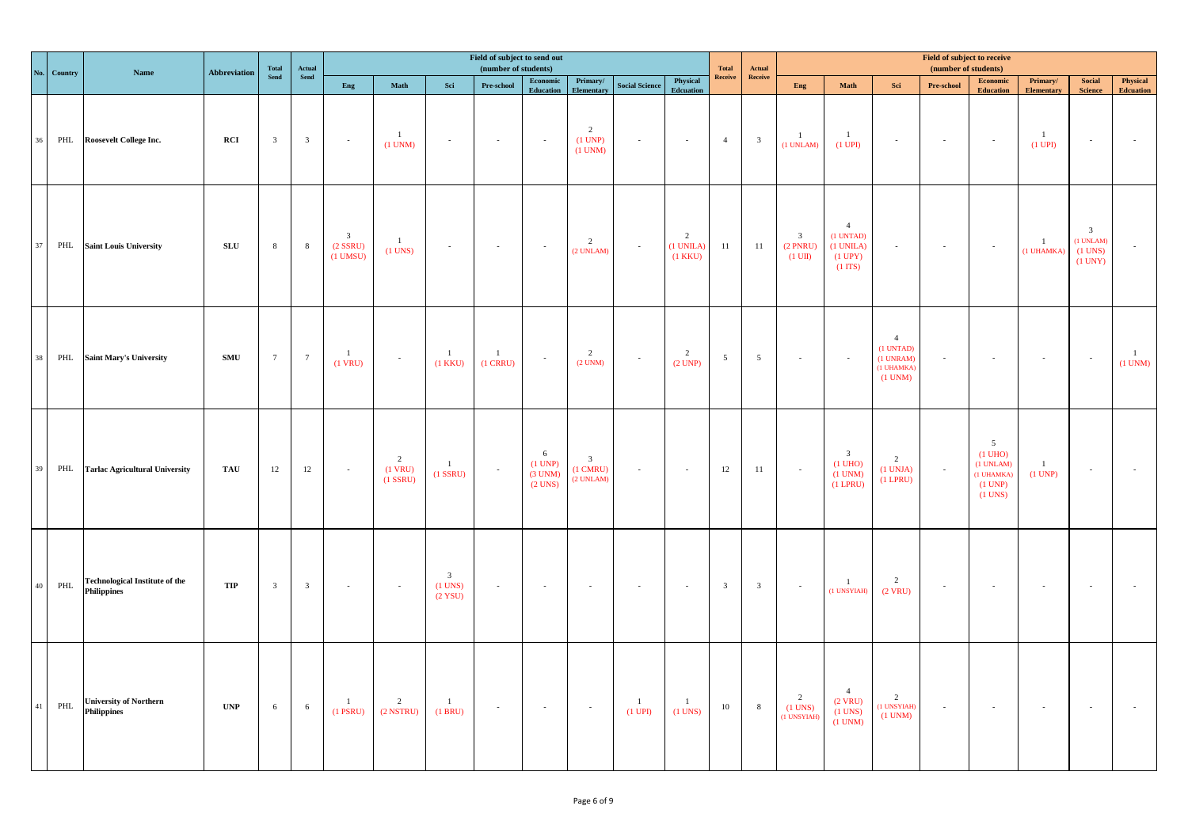|        | No. Country | Name                                                        | <b>Abbreviation</b>       | <b>Total</b>    | Actual                  |                                          |                                           |                                                   | Field of subject to send out<br>(number of students) |                                           |                                                   |                                     |                                | <b>Total</b>            | Actual                  |                                                            |                                                                                      |                                                                        | Field of subject to receive<br>(number of students) |                                                                        |                               |                                                                 |                              |
|--------|-------------|-------------------------------------------------------------|---------------------------|-----------------|-------------------------|------------------------------------------|-------------------------------------------|---------------------------------------------------|------------------------------------------------------|-------------------------------------------|---------------------------------------------------|-------------------------------------|--------------------------------|-------------------------|-------------------------|------------------------------------------------------------|--------------------------------------------------------------------------------------|------------------------------------------------------------------------|-----------------------------------------------------|------------------------------------------------------------------------|-------------------------------|-----------------------------------------------------------------|------------------------------|
|        |             |                                                             |                           | Send            | Send                    | Eng                                      | Math                                      | Sci                                               | ${\bf Pre\text{-}school}$                            | Economic<br>Education                     | Primary/<br><b>Elementary</b>                     | <b>Social Science</b>               | Physical<br>Edcuation          | Receive                 | Receive                 | Eng                                                        | Math                                                                                 | Sci                                                                    | Pre-school                                          | Economic<br><b>Education</b>                                           | Primary/<br><b>Elementary</b> | Social<br><b>Science</b>                                        | Physical<br><b>Edcuation</b> |
| $36\,$ | PHL         | <b>Roosevelt College Inc.</b>                               | RCI                       | $\overline{3}$  | $\overline{\mathbf{3}}$ | $\sim$                                   | $\mathbf{1}$<br>$(1$ UNM $)$              | $\sim$                                            | $\sim$                                               | $\sim$                                    | $\overline{2}$<br>(1 UNP)<br>$(1$ UNM $)$         | $\sim$                              | $\sim$                         | 4                       | $\overline{\mathbf{3}}$ | $\mathbf{1}$<br>$(1$ UNLAM $)$                             | $\mathbf{1}$<br>$(1$ UPI $)$                                                         | $\sim$                                                                 | $\sim 100$                                          | $\sim$                                                                 | $\overline{1}$<br>$(1$ UPI)   | $\sim$                                                          |                              |
| 37     | PHL         | <b>Saint Louis University</b>                               | ${\bf S} {\bf L} {\bf U}$ | $\,$ 8 $\,$     | 8                       | $\mathbf{3}$<br>$(2$ SSRU)<br>$(1$ UMSU) | $\mathbf{1}$<br>$(1$ UNS)                 | $\sim$                                            | $\sim$                                               | $\sim$                                    | $\overline{2}$<br>(2 UNLAM)                       | $\sim$                              | 2<br>(1 UNILA)<br>$(1$ KKU $)$ | 11                      | 11                      | $\overline{\mathbf{3}}$<br>$(2$ PNRU)<br>$(1 \text{ UII})$ | $\overline{4}$<br>$(1$ UNTAD)<br>$(1$ UNILA $)$<br>$(1$ UPY $)$<br>$(1 \text{ ITS})$ | $\sim$                                                                 | $\sim$ $\sim$                                       | $\sim$                                                                 | $\mathbf{1}$<br>(1 UHAMKA)    | $\overline{\mathbf{3}}$<br>(1 UNLAM)<br>$(1$ UNS $)$<br>(1 UNY) |                              |
| 38     | PHL         | <b>Saint Mary's University</b>                              | $\mathbf{SMU}$            | $7\phantom{.0}$ | $7\phantom{.0}$         | $\overline{1}$<br>$(1$ VRU)              | $\sim$                                    | $\overline{1}$<br>$(1$ KKU $)$                    | $\mathbf{1}$<br>$(1$ CRRU)                           |                                           | $\overline{2}$<br>$(2$ UNM $)$                    | $\sim$                              | $\overline{2}$<br>(2 UNP)      | $5\overline{)}$         | $5\overline{)}$         | $\sim$                                                     | $\sim$                                                                               | $\overline{4}$<br>(1 UNTAD)<br>(1 UNRAM)<br>(1 UHAMKA)<br>$(1$ UNM $)$ |                                                     |                                                                        | $\sim$                        | $\sim$                                                          | $\mathbf{1}$<br>$(1$ UNM $)$ |
| 39     |             | PHL Tarlac Agricultural University                          | TAU                       | 12              | 12                      | $\sim$                                   | $\overline{2}$<br>$(1$ VRU)<br>$(1$ SSRU) | <sup>1</sup><br>$(1$ SSRU $)$                     | $\mathcal{L}$                                        | 6<br>(1 UNP)<br>$(3$ UNM $)$<br>$(2$ UNS) | $\overline{3}$<br>$(1 \text{ CMRU})$<br>(2 UNLAM) | $\sim$                              | $\sim$                         | 12                      | $11\,$                  | $\sim$                                                     | $\overline{\mathbf{3}}$<br>$(1 \text{ UHO})$<br>$(1$ UNM $)$<br>$(1$ LPRU)           | 2<br>$(1$ UNJA $)$<br>$(1$ LPRU $)$                                    | $\sim$ $\sim$                                       | 5<br>$(1$ UHO)<br>$(1$ UNLAM $)$<br>(1 UHAMKA)<br>(1 UNP)<br>$(1$ UNS) | $\overline{1}$<br>$(1$ UNP)   | $\sim$                                                          |                              |
| 40     | PHL         | <b>Technological Institute of the</b><br><b>Philippines</b> | TIP                       | $\overline{3}$  | $\overline{\mathbf{3}}$ | $\sim$                                   | $\sim$                                    | $\overline{\mathbf{3}}$<br>$(1$ UNS)<br>$(2$ YSU) | $\sim$                                               | $\sim$                                    | $\sim$                                            |                                     | $\sim$                         | $\overline{\mathbf{3}}$ | $\overline{\mathbf{3}}$ | $\sim$                                                     | $\mathbf{1}$<br>(1 UNSYIAH)                                                          | 2<br>$(2$ VRU)                                                         | $\sim 10$                                           |                                                                        | $\sim$                        | $\sim$                                                          |                              |
| 41     | PHL         | <b>University of Northern</b><br>Philippines                | $\ensuremath{\text{UNP}}$ | 6               | 6                       | $\overline{1}$<br>$(1$ PSRU)             | $\overline{2}$<br>$(2$ NSTRU $)$          | $\overline{1}$<br>$(1$ BRU $)$                    | $\sim$                                               | $\sim$                                    | $\sim$                                            | $\overline{1}$<br>$(1 \text{ UPI})$ | $\overline{1}$<br>$(1$ UNS)    | 10                      | 8                       | 2<br>$(1$ UNS)<br>(1 UNSYIAH)                              | $\overline{4}$<br>$(2$ VRU)<br>$(1$ UNS)<br>$(1$ UNM $)$                             | 2<br>(1 UNSYIAH)<br>$(1$ UNM $)$                                       | $\sim$                                              | $\sim$                                                                 | $\sim$                        | $\sim$                                                          |                              |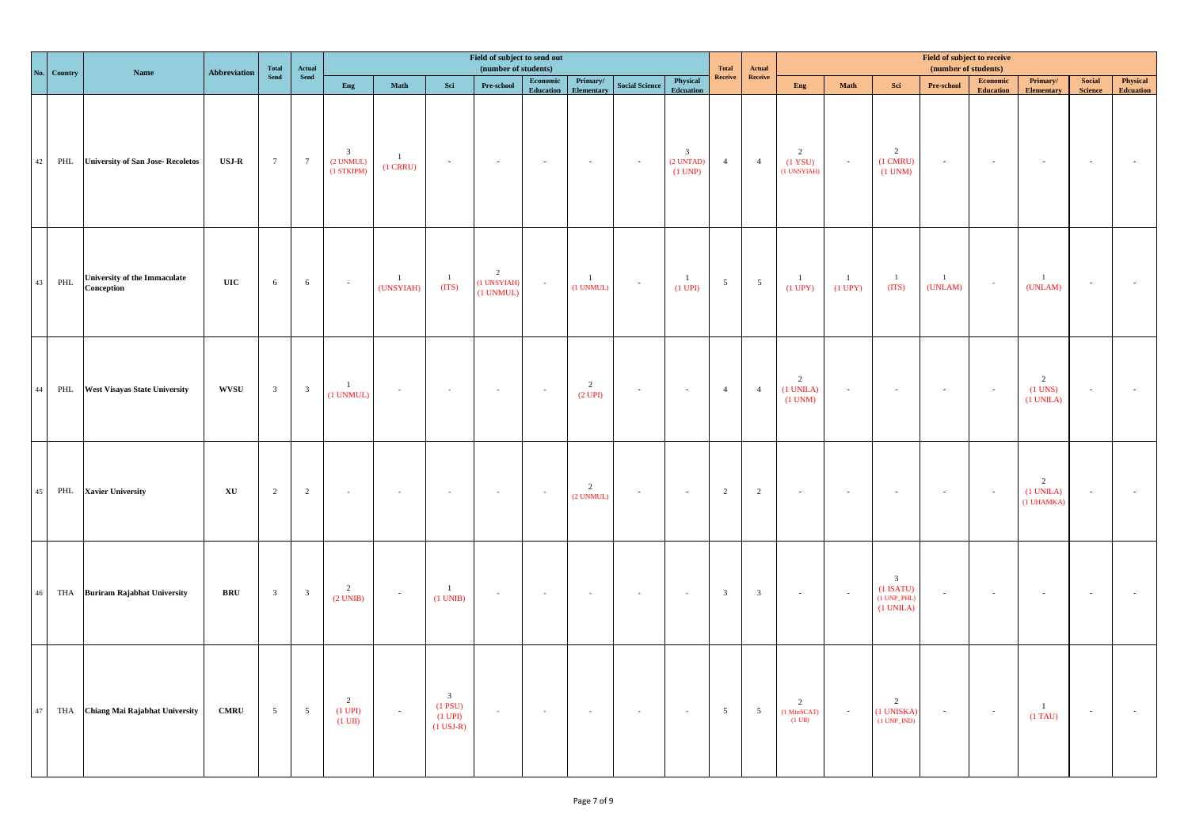|        | No. Country | Name                                              | <b>Abbreviation</b>          | Total                   | Actual                  |                                            | Field of subject to send out<br>(number of students)<br><b>Total</b><br>Actual<br>Receive<br>Receive<br>Physical<br>Economic<br>Primary/ |                                                                        |                                            |           |                                        |                             |                                                                                             |                         |                         |                                                                 |                                |                                                                           | Field of subject to receive<br>(number of students) |                              |                                   |                                 |                              |
|--------|-------------|---------------------------------------------------|------------------------------|-------------------------|-------------------------|--------------------------------------------|------------------------------------------------------------------------------------------------------------------------------------------|------------------------------------------------------------------------|--------------------------------------------|-----------|----------------------------------------|-----------------------------|---------------------------------------------------------------------------------------------|-------------------------|-------------------------|-----------------------------------------------------------------|--------------------------------|---------------------------------------------------------------------------|-----------------------------------------------------|------------------------------|-----------------------------------|---------------------------------|------------------------------|
|        |             |                                                   |                              | Send                    | Send                    | Eng                                        | Math                                                                                                                                     | Sci                                                                    | Pre-school                                 | Education | Elementary                             | <b>Social Science</b>       | <b>Edcuation</b>                                                                            |                         |                         | Eng                                                             | Math                           | Sci                                                                       | Pre-school                                          | Economic<br><b>Education</b> | Primary/<br><b>Elementary</b>     | <b>Social</b><br><b>Science</b> | Physical<br><b>Edcuation</b> |
| 42     |             | PHL University of San Jose-Recoletos              | $_{\rm USJ-R}$               | 7                       | $7\overline{ }$         | $\mathbf{3}$<br>$(2$ UNMUL)<br>(1 STKIPM)  | $\mathbf{1}$<br>$(1$ CRRU $)$                                                                                                            | $\sim$                                                                 | $\sim$                                     | $\sim$    | $\sim$                                 | $\sim$                      | $\overline{\mathbf{3}}$<br>$\begin{array}{c} \text{(2 UNTAD)}\\ \text{(1 UNP)} \end{array}$ | 4                       | $\overline{4}$          | 2<br>(1 YSU)<br>(1 UNSYIAH)                                     | $\sim 10^{-1}$                 | 2<br>$(1 \text{ CMRU})$<br>$(1$ UNM $)$                                   | $\sim$                                              | $\sim$                       | $\sim$                            | $\sim$                          |                              |
| 43     | PHL         | <b>University of the Immaculate</b><br>Conception | $\mathbf{UIC}$               | 6                       | $\sqrt{6}$              | $\sim$                                     | $\overline{1}$<br>(UNSYIAH)                                                                                                              | $\overline{1}$<br>(TTS)                                                | $\overline{2}$<br>(1 UNSYIAH)<br>(1 UNMUL) | $\sim$    | $\overline{1}$<br>$(1$ UNMUL)          | $\sim$                      | $\overline{1}$<br>$(1 \text{ UPI})$                                                         | 5 <sup>5</sup>          | $5\overline{)}$         | $\mathbf{1}$<br>$(1$ UPY $)$                                    | $\overline{1}$<br>$(1$ UPY $)$ | $\mathbf{1}$<br>(TTS)                                                     | $\blacksquare$<br>(UNLAM)                           |                              | $\overline{1}$<br>(UNLAM)         | $\sim$                          |                              |
| 44     |             | PHL West Visayas State University                 | <b>WVSU</b>                  | $\overline{\mathbf{3}}$ | $\overline{\mathbf{3}}$ | $\overline{1}$<br>$(1$ UNMUL)              | $\sim$                                                                                                                                   | $\sim$                                                                 | $\sim$                                     | $\sim$    | $\overline{2}$<br>$(2 \overline{UPI})$ |                             | $\sim$                                                                                      | $\overline{4}$          | $\overline{4}$          | 2<br>$(1$ UNILA $)$<br>$(1$ UNM $)$                             | $\sim 10^{-1}$                 | $\sim$                                                                    | $\sim 100$                                          |                              | 2<br>$(1$ UNS)<br>$(1$ UNILA $)$  | $\sim$                          |                              |
| 45     |             | PHL Xavier University                             | $\mathbf{X}\mathbf{U}$       | 2                       | $\overline{2}$          | $\sim$                                     |                                                                                                                                          |                                                                        | $\sim$                                     | $\sim$    | $\overline{2}$<br>(2 UNMUL)            | $\mathcal{L}_{\mathcal{C}}$ | $\sim$                                                                                      | 2                       | $\overline{2}$          | $\sim$                                                          | $\sim$                         | $\bar{\phantom{a}}$                                                       |                                                     |                              | 2<br>$(1$ UNILA $)$<br>(1 UHAMKA) | $\sim$                          |                              |
| $46\,$ |             | THA Buriram Rajabhat University                   | <b>BRU</b>                   | 3 <sup>7</sup>          | $\overline{\mathbf{3}}$ | $\overline{\phantom{a}}$<br>$(2$ UNIB)     | $\sim$                                                                                                                                   | $\overline{1}$<br>$(1$ UNIB)                                           | $\overline{\phantom{a}}$                   | $\sim$    | $\sim$                                 |                             | $\sim$                                                                                      | $\overline{\mathbf{3}}$ | $\overline{\mathbf{3}}$ | $\sim$                                                          | $\sim 10^{-1}$                 | $\overline{\mathbf{3}}$<br>$(1$ ISATU)<br>$(1$ UNP_PHL)<br>$(1$ UNILA $)$ |                                                     |                              | $\sim$                            | $\sim$                          |                              |
| 47     |             | THA Chiang Mai Rajabhat University                | $\ensuremath{\mathrm{CMRU}}$ | $5\overline{)}$         | $5\overline{)}$         | 2<br>$(1 \text{ UPI})$<br>$(1 \text{ UI})$ | $\sim$                                                                                                                                   | $\overline{\mathbf{3}}$<br>$(1$ PSU)<br>$(1$ UPI $)$<br>$(1$ USJ-R $)$ | $\mathcal{L}_{\mathcal{A}}$                | $\sim$    | $\sim$                                 | $\sim$                      | $\sim$                                                                                      | 5 <sup>5</sup>          | $5\overline{)}$         | $\overline{2}$<br>$\frac{(1 \text{ MinSCAT})}{(1 \text{ UII})}$ | $\sim 100$                     | $\overline{2}$<br>(1 UNISKA)<br>$(1 UNP_NID)$                             | $\sim 100$                                          | $\sim$                       | $\overline{1}$<br>$(1)$ TAU)      | $\sim$                          |                              |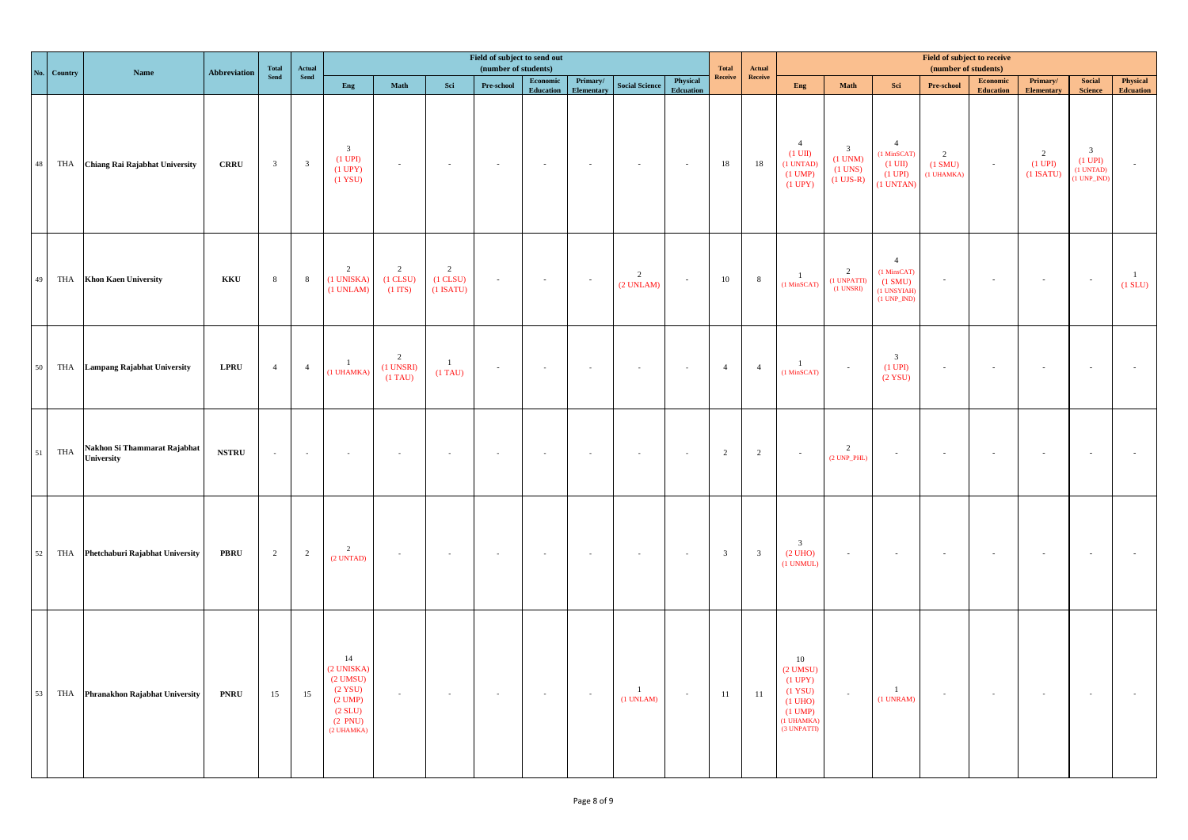|    | No. Country | Name                                       | <b>Abbreviation</b> | Total                   | Actual                  | Field of subject to send out<br>(number of students)<br><b>Total</b><br>Actual<br>Receive<br>Receive<br>Physical<br>Economic<br>Primary/<br><b>Social Science</b><br>Eng<br>Math<br>Sci<br>Pre-school |                                                      |                                                |               |           |            |                                  |           |                         |                         |                                                                                                            |                                                                     | Field of subject to receive<br>(number of students)                                  |                                         |                              |                                  |                                                                         |                              |
|----|-------------|--------------------------------------------|---------------------|-------------------------|-------------------------|-------------------------------------------------------------------------------------------------------------------------------------------------------------------------------------------------------|------------------------------------------------------|------------------------------------------------|---------------|-----------|------------|----------------------------------|-----------|-------------------------|-------------------------|------------------------------------------------------------------------------------------------------------|---------------------------------------------------------------------|--------------------------------------------------------------------------------------|-----------------------------------------|------------------------------|----------------------------------|-------------------------------------------------------------------------|------------------------------|
|    |             |                                            |                     | Send                    | ${\bf Send}$            |                                                                                                                                                                                                       |                                                      |                                                |               | Education | Elementary |                                  | Edcuation |                         |                         | Eng                                                                                                        | Math                                                                | Sci                                                                                  | Pre-school                              | Economic<br><b>Education</b> | Primary/<br>Elementary           | <b>Social</b><br><b>Science</b>                                         | Physical<br><b>Edcuation</b> |
| 48 |             | THA Chiang Rai Rajabhat University         | <b>CRRU</b>         | $\overline{\mathbf{3}}$ | $\overline{\mathbf{3}}$ | $\mathbf{3}$<br>$(1$ UPI)<br>$(1$ UPY $)$<br>(1 YSU)                                                                                                                                                  | $\omega$                                             | $\sim$                                         | $\sim$        | $\sim$    | $\sim$     | $\sim$                           | $\sim$    | 18                      | 18                      | $\overline{4}$<br>$(1 \text{ UII})$<br>(1 UNTAD)<br>$(1$ UMP $)$<br>$(1$ UPY $)$                           | $\overline{\mathbf{3}}$<br>$(1$ UNM)<br>$(1$ UNS $)$<br>$(1$ UJS-R) | $\overline{4}$<br>(1 MinSCAT)<br>$(1 \text{ UII})$<br>$(1 \text{ UPI})$<br>(1 UNTAN) | $\overline{2}$<br>(1 SMU)<br>(1 UHAMKA) | $\sim$                       | 2<br>$(1$ UPI $)$<br>$(1$ ISATU) | $\overline{\mathbf{3}}$<br>$(1$ UPI $)$<br>$(1 UNTAD)$<br>$(1 UNP_NID)$ |                              |
| 49 |             | THA Khon Kaen University                   | KKU                 | 8                       | $\,$ 8 $\,$             | $\overline{2}$<br>(1 UNISKA)<br>$(1$ UNLAM $)$                                                                                                                                                        | $\overline{2}$<br>$(1$ CLSU $)$<br>$(1 \text{ ITS})$ | $\overline{2}$<br>$(1$ CLSU $)$<br>$(1$ ISATU) | $\omega$      | $\sim$    | $\sim$     | $\overline{2}$<br>(2 UNLAM)      | $\omega$  | 10                      | 8                       | $\overline{1}$<br>$(1$ MinSCAT $)$                                                                         | $\overline{\phantom{a}}$<br>(1 UNPATTI)<br>$(1$ UNSRI $)$           | $\overline{4}$<br>(1 MinsCAT)<br>$(1 \text{ SMU})$<br>(1 UNSYIAH)<br>$(1 UNP_NID)$   | $\sim$                                  | $\sim$                       | $\sim$                           | $\sim$                                                                  | $\mathbf{1}$<br>$(1$ SLU $)$ |
| 50 |             | THA Lampang Rajabhat University            | <b>LPRU</b>         | $\overline{4}$          | $\overline{4}$          | $\overline{1}$<br>(1 UHAMKA)                                                                                                                                                                          | 2<br>(1 UNSRI)<br>$(1)$ TAU)                         | $\mathbf{1}$<br>$(1)$ TAU)                     | $\omega$      | $\sim$    | $\sim$     |                                  | $\sim$    | $\overline{4}$          | $\overline{4}$          | $\mathbf{1}$<br>$(1$ MinSCAT $)$                                                                           | $\sim$                                                              | $\overline{\mathbf{3}}$<br>$(1$ UPI)<br>$(2$ YSU)                                    | $\sim$                                  |                              | $\sim$                           | $\sim$                                                                  |                              |
| 51 | THA         | Nakhon Si Thammarat Rajabhat<br>University | <b>NSTRU</b>        | $\sim$                  | $\sim$                  | $\sim$                                                                                                                                                                                                | $\overline{\phantom{a}}$                             | $\sim$                                         | $\mathcal{L}$ | $\sim$    | $\sim$     |                                  | $\sim$    | 2                       | $\overline{2}$          | $\sim$                                                                                                     | $\overline{2}$<br>$(2 UNP_PHL)$                                     | $\sim$                                                                               | $\sim$                                  |                              | $\sim$                           | $\sim$                                                                  |                              |
| 52 |             | THA Phetchaburi Rajabhat University        | <b>PBRU</b>         | $\overline{2}$          | $\overline{2}$          | $\overline{2}$<br>$(2$ UNTAD)                                                                                                                                                                         | $\sim$                                               | $\sim$                                         | $\sim$        | $\sim$    | $\sim$     | $\sim$                           | $\sim$    | $\overline{\mathbf{3}}$ | $\overline{\mathbf{3}}$ | $\mathbf{3}$<br>(2 UHO)<br>(1 UNMUL)                                                                       | $\sim$                                                              | $\sim$                                                                               | $\sim$ $\sim$                           |                              | $\sim$                           | $\sim$                                                                  |                              |
| 53 |             | THA Phranakhon Rajabhat University         | <b>PNRU</b>         | 15                      | 15                      | 14<br>(2 UNISKA)<br>$(2$ UMSU)<br>$(2$ YSU)<br>$(2$ UMP $)$<br>(2 SLU)<br>(2 PNU)<br>(2 UHAMKA)                                                                                                       | $\sim$                                               | $\sim$                                         | $\sim$        | $\sim$    | $\sim$     | $\overline{1}$<br>$(1$ UNLAM $)$ | $\sim$    | 11                      | 11                      | 10<br>$(2$ UMSU)<br>$(1$ UPY $)$<br>(1 YSU)<br>$(1$ UHO)<br>$(1 \text{ UMP})$<br>(1 UHAMKA)<br>(3 UNPATTI) | $\sim$                                                              | $\mathbf{1}$<br>$(1$ UNRAM $)$                                                       | $\sim$                                  | $\sim$                       | $\sim$                           | $\sim$                                                                  |                              |